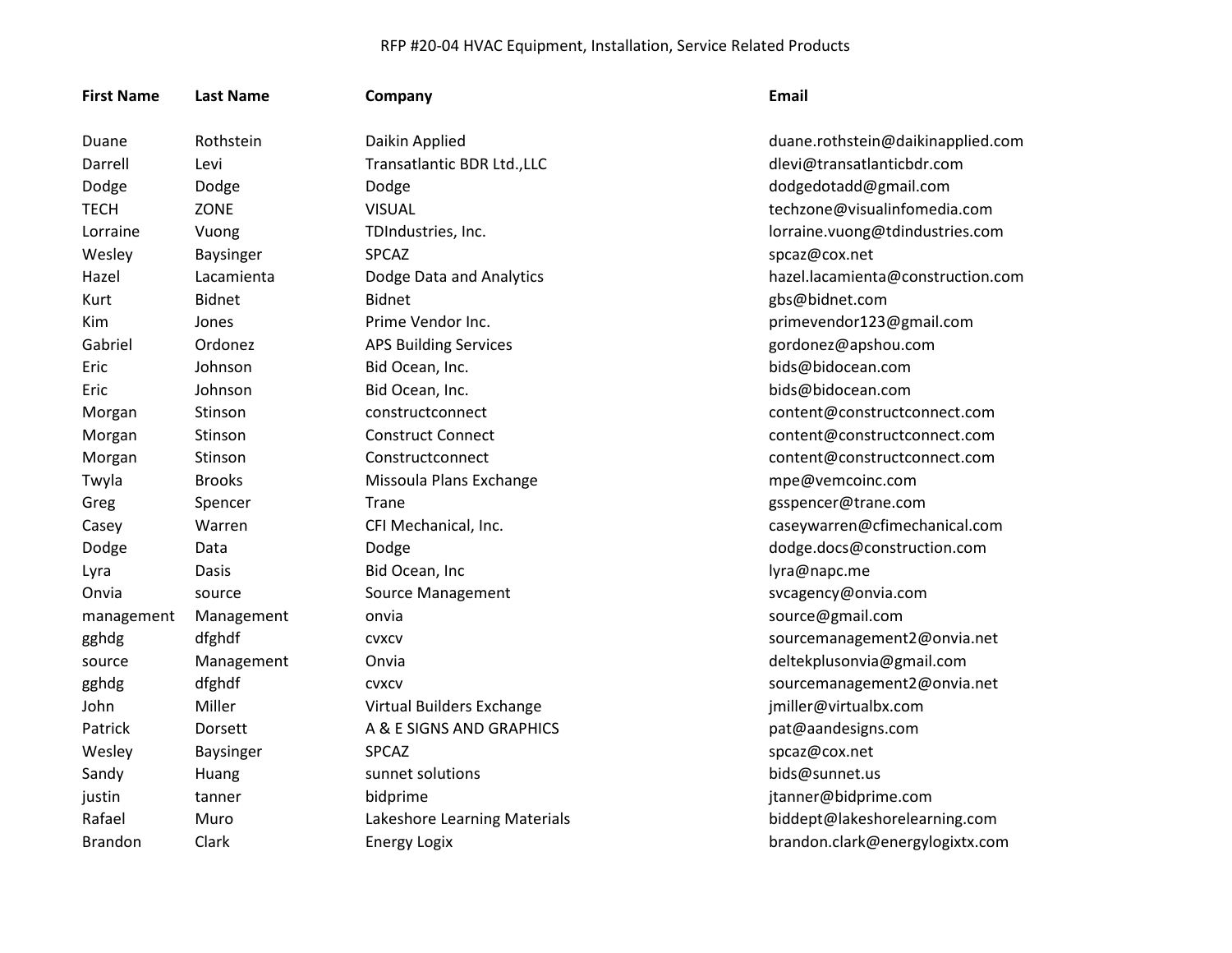| <b>First Name</b> | <b>Last Name</b> | Company                      | <b>Email</b>                      |
|-------------------|------------------|------------------------------|-----------------------------------|
| Duane             | Rothstein        | Daikin Applied               | duane.rothstein@daikinapplied.com |
| Darrell           | Levi             | Transatlantic BDR Ltd., LLC  | dlevi@transatlanticbdr.com        |
| Dodge             | Dodge            | Dodge                        | dodgedotadd@gmail.com             |
| <b>TECH</b>       | ZONE             | <b>VISUAL</b>                | techzone@visualinfomedia.com      |
| Lorraine          | Vuong            | TDIndustries, Inc.           | lorraine.vuong@tdindustries.com   |
| Wesley            | <b>Baysinger</b> | <b>SPCAZ</b>                 | spcaz@cox.net                     |
| Hazel             | Lacamienta       | Dodge Data and Analytics     | hazel.lacamienta@construction.com |
| Kurt              | Bidnet           | <b>Bidnet</b>                | gbs@bidnet.com                    |
| Kim               | Jones            | Prime Vendor Inc.            | primevendor123@gmail.com          |
| Gabriel           | Ordonez          | <b>APS Building Services</b> | gordonez@apshou.com               |
| Eric              | Johnson          | Bid Ocean, Inc.              | bids@bidocean.com                 |
| Eric              | Johnson          | Bid Ocean, Inc.              | bids@bidocean.com                 |
| Morgan            | Stinson          | constructconnect             | content@constructconnect.com      |
| Morgan            | Stinson          | <b>Construct Connect</b>     | content@constructconnect.com      |
| Morgan            | Stinson          | Constructconnect             | content@constructconnect.com      |
| Twyla             | <b>Brooks</b>    | Missoula Plans Exchange      | mpe@vemcoinc.com                  |
| Greg              | Spencer          | Trane                        | gsspencer@trane.com               |
| Casey             | Warren           | CFI Mechanical, Inc.         | caseywarren@cfimechanical.com     |
| Dodge             | Data             | Dodge                        | dodge.docs@construction.com       |
| Lyra              | Dasis            | Bid Ocean, Inc               | lyra@napc.me                      |
| Onvia             | source           | <b>Source Management</b>     | svcagency@onvia.com               |
| management        | Management       | onvia                        | source@gmail.com                  |
| gghdg             | dfghdf           | <b>CVXCV</b>                 | sourcemanagement2@onvia.net       |
| source            | Management       | Onvia                        | deltekplusonvia@gmail.com         |
| gghdg             | dfghdf           | <b>CVXCV</b>                 | sourcemanagement2@onvia.net       |
| John              | Miller           | Virtual Builders Exchange    | jmiller@virtualbx.com             |
| Patrick           | Dorsett          | A & E SIGNS AND GRAPHICS     | pat@aandesigns.com                |
| Wesley            | <b>Baysinger</b> | <b>SPCAZ</b>                 | spcaz@cox.net                     |
| Sandy             | Huang            | sunnet solutions             | bids@sunnet.us                    |
| justin            | tanner           | bidprime                     | jtanner@bidprime.com              |
| Rafael            | Muro             | Lakeshore Learning Materials | biddept@lakeshorelearning.com     |
| <b>Brandon</b>    | Clark            | <b>Energy Logix</b>          | brandon.clark@energylogixtx.com   |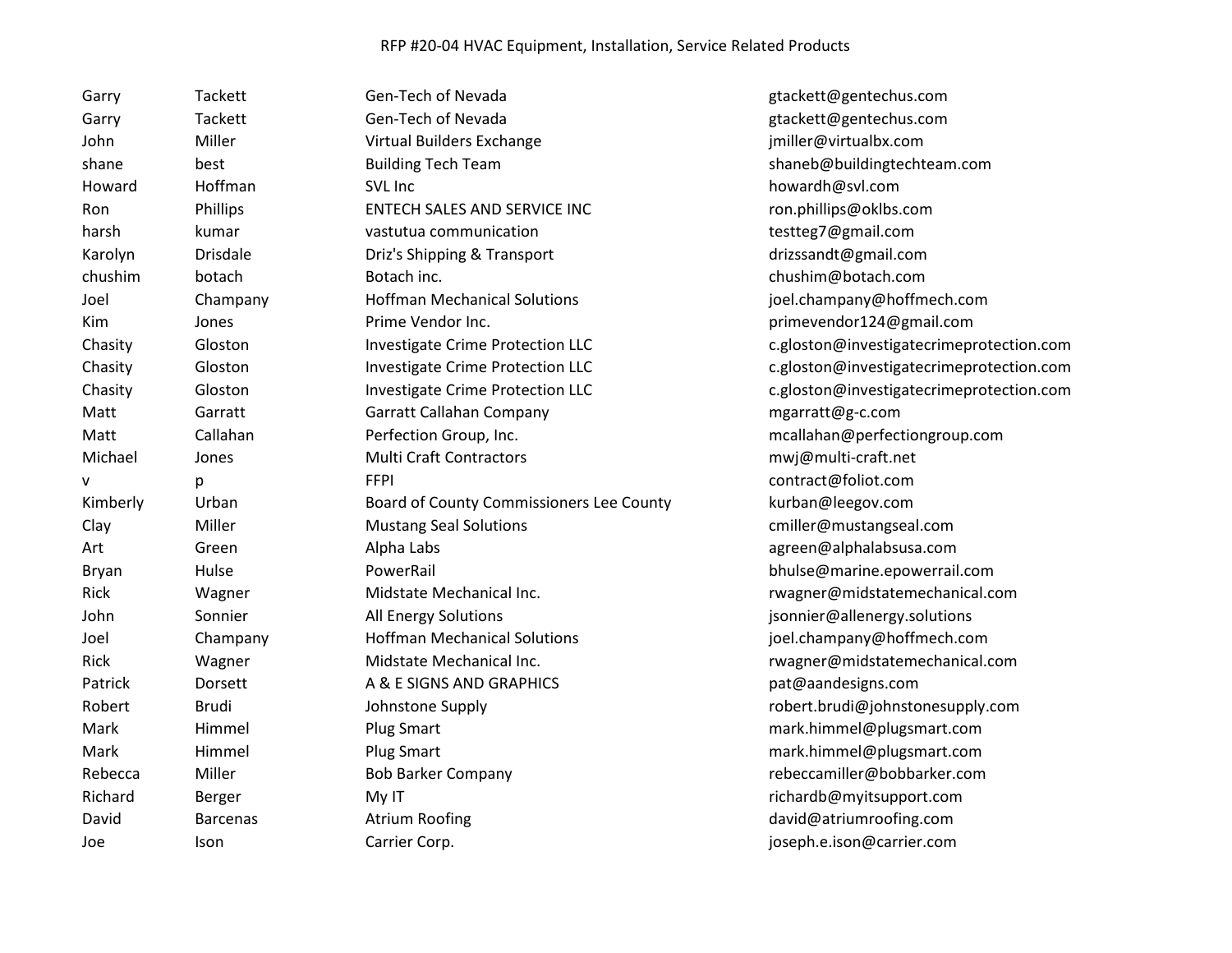| Garry        | <b>Tackett</b>  | Gen-Tech of Nevada                       | gtackett@gentechus.com                   |
|--------------|-----------------|------------------------------------------|------------------------------------------|
| Garry        | Tackett         | Gen-Tech of Nevada                       | gtackett@gentechus.com                   |
| John         | Miller          | Virtual Builders Exchange                | jmiller@virtualbx.com                    |
| shane        | best            | <b>Building Tech Team</b>                | shaneb@buildingtechteam.com              |
| Howard       | Hoffman         | SVL Inc                                  | howardh@svl.com                          |
| Ron          | Phillips        | ENTECH SALES AND SERVICE INC             | ron.phillips@oklbs.com                   |
| harsh        | kumar           | vastutua communication                   | testteg7@gmail.com                       |
| Karolyn      | <b>Drisdale</b> | Driz's Shipping & Transport              | drizssandt@gmail.com                     |
| chushim      | botach          | Botach inc.                              | chushim@botach.com                       |
| Joel         | Champany        | <b>Hoffman Mechanical Solutions</b>      | joel.champany@hoffmech.com               |
| Kim          | Jones           | Prime Vendor Inc.                        | primevendor124@gmail.com                 |
| Chasity      | Gloston         | <b>Investigate Crime Protection LLC</b>  | c.gloston@investigatecrimeprotection.com |
| Chasity      | Gloston         | Investigate Crime Protection LLC         | c.gloston@investigatecrimeprotection.com |
| Chasity      | Gloston         | Investigate Crime Protection LLC         | c.gloston@investigatecrimeprotection.com |
| Matt         | Garratt         | Garratt Callahan Company                 | mgarratt@g-c.com                         |
| Matt         | Callahan        | Perfection Group, Inc.                   | mcallahan@perfectiongroup.com            |
| Michael      | Jones           | <b>Multi Craft Contractors</b>           | mwj@multi-craft.net                      |
| ۷            | р               | <b>FFPI</b>                              | contract@foliot.com                      |
| Kimberly     | Urban           | Board of County Commissioners Lee County | kurban@leegov.com                        |
| Clay         | Miller          | <b>Mustang Seal Solutions</b>            | cmiller@mustangseal.com                  |
| Art          | Green           | Alpha Labs                               | agreen@alphalabsusa.com                  |
| <b>Bryan</b> | Hulse           | PowerRail                                | bhulse@marine.epowerrail.com             |
| Rick         | Wagner          | Midstate Mechanical Inc.                 | rwagner@midstatemechanical.com           |
| John         | Sonnier         | All Energy Solutions                     | jsonnier@allenergy.solutions             |
| Joel         | Champany        | <b>Hoffman Mechanical Solutions</b>      | joel.champany@hoffmech.com               |
| Rick         | Wagner          | Midstate Mechanical Inc.                 | rwagner@midstatemechanical.com           |
| Patrick      | Dorsett         | A & E SIGNS AND GRAPHICS                 | pat@aandesigns.com                       |
| Robert       | <b>Brudi</b>    | Johnstone Supply                         | robert.brudi@johnstonesupply.com         |
| Mark         | Himmel          | <b>Plug Smart</b>                        | mark.himmel@plugsmart.com                |
| Mark         | Himmel          | <b>Plug Smart</b>                        | mark.himmel@plugsmart.com                |
| Rebecca      | Miller          | <b>Bob Barker Company</b>                | rebeccamiller@bobbarker.com              |
| Richard      | Berger          | My IT                                    | richardb@myitsupport.com                 |
| David        |                 |                                          |                                          |
|              | <b>Barcenas</b> | <b>Atrium Roofing</b>                    | david@atriumroofing.com                  |
| Joe          | Ison            | Carrier Corp.                            | joseph.e.ison@carrier.com                |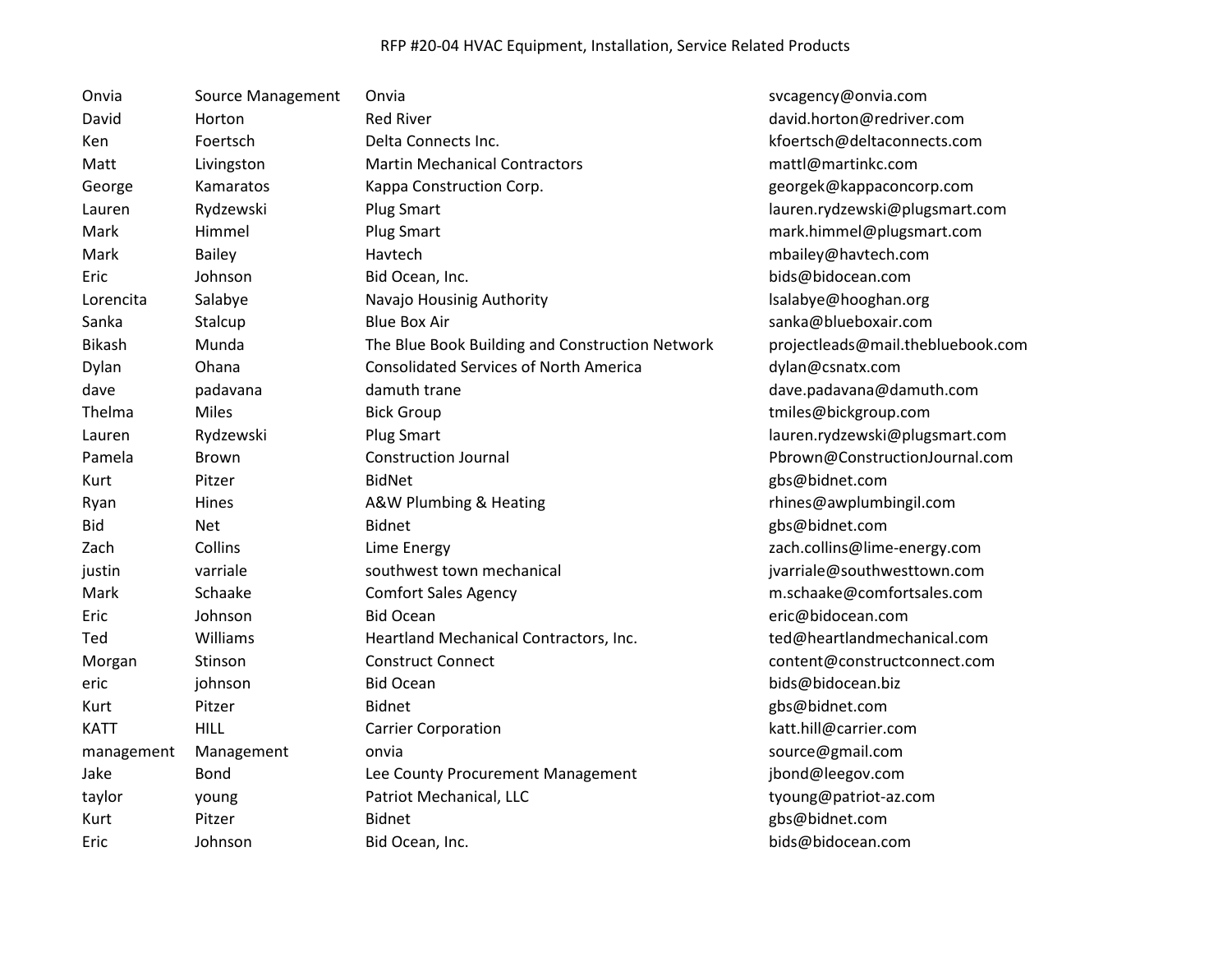| Onvia         | Source Management | Onvia                                           | svcagency@onvia.com               |
|---------------|-------------------|-------------------------------------------------|-----------------------------------|
| David         | Horton            | <b>Red River</b>                                | david.horton@redriver.com         |
| Ken           | Foertsch          | Delta Connects Inc.                             | kfoertsch@deltaconnects.com       |
| Matt          | Livingston        | <b>Martin Mechanical Contractors</b>            | mattl@martinkc.com                |
| George        | Kamaratos         | Kappa Construction Corp.                        | georgek@kappaconcorp.com          |
| Lauren        | Rydzewski         | Plug Smart                                      | lauren.rydzewski@plugsmart.com    |
| Mark          | Himmel            | <b>Plug Smart</b>                               | mark.himmel@plugsmart.com         |
| Mark          | <b>Bailey</b>     | Havtech                                         | mbailey@havtech.com               |
| Eric          | Johnson           | Bid Ocean, Inc.                                 | bids@bidocean.com                 |
| Lorencita     | Salabye           | Navajo Housinig Authority                       | Isalabye@hooghan.org              |
| Sanka         | Stalcup           | <b>Blue Box Air</b>                             | sanka@blueboxair.com              |
| <b>Bikash</b> | Munda             | The Blue Book Building and Construction Network | projectleads@mail.thebluebook.com |
| Dylan         | Ohana             | <b>Consolidated Services of North America</b>   | dylan@csnatx.com                  |
| dave          | padavana          | damuth trane                                    | dave.padavana@damuth.com          |
| Thelma        | Miles             | <b>Bick Group</b>                               | tmiles@bickgroup.com              |
| Lauren        | Rydzewski         | <b>Plug Smart</b>                               | lauren.rydzewski@plugsmart.com    |
| Pamela        | <b>Brown</b>      | <b>Construction Journal</b>                     | Pbrown@ConstructionJournal.com    |
| Kurt          | Pitzer            | <b>BidNet</b>                                   | gbs@bidnet.com                    |
| Ryan          | Hines             | A&W Plumbing & Heating                          | rhines@awplumbingil.com           |
| <b>Bid</b>    | <b>Net</b>        | <b>Bidnet</b>                                   | gbs@bidnet.com                    |
| Zach          | Collins           | Lime Energy                                     | zach.collins@lime-energy.com      |
| justin        | varriale          | southwest town mechanical                       | jvarriale@southwesttown.com       |
| Mark          | Schaake           | <b>Comfort Sales Agency</b>                     | m.schaake@comfortsales.com        |
| Eric          | Johnson           | <b>Bid Ocean</b>                                | eric@bidocean.com                 |
| Ted           | Williams          | Heartland Mechanical Contractors, Inc.          | ted@heartlandmechanical.com       |
| Morgan        | Stinson           | <b>Construct Connect</b>                        | content@constructconnect.com      |
| eric          | johnson           | <b>Bid Ocean</b>                                | bids@bidocean.biz                 |
| Kurt          | Pitzer            | Bidnet                                          | gbs@bidnet.com                    |
| <b>KATT</b>   | <b>HILL</b>       | <b>Carrier Corporation</b>                      | katt.hill@carrier.com             |
| management    | Management        | onvia                                           | source@gmail.com                  |
| Jake          | Bond              | Lee County Procurement Management               | jbond@leegov.com                  |
| taylor        | young             | Patriot Mechanical, LLC                         | tyoung@patriot-az.com             |
| Kurt          | Pitzer            | <b>Bidnet</b>                                   | gbs@bidnet.com                    |
| Eric          | Johnson           | Bid Ocean, Inc.                                 | bids@bidocean.com                 |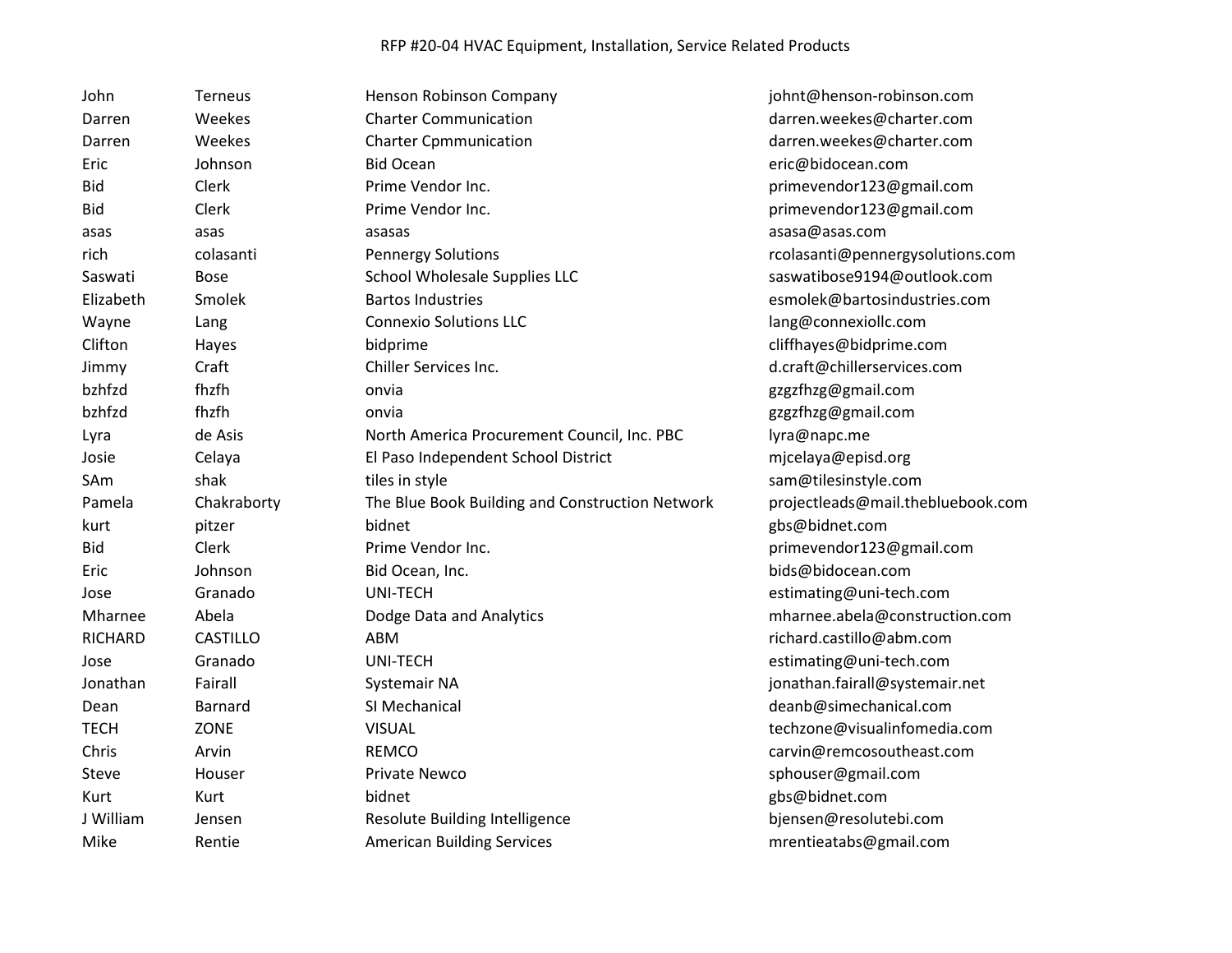| John           | Terneus         | Henson Robinson Company                         | johnt@henson-robinson.com         |
|----------------|-----------------|-------------------------------------------------|-----------------------------------|
| Darren         | Weekes          | <b>Charter Communication</b>                    | darren.weekes@charter.com         |
| Darren         | Weekes          | <b>Charter Cpmmunication</b>                    | darren.weekes@charter.com         |
| Eric           | Johnson         | <b>Bid Ocean</b>                                | eric@bidocean.com                 |
| <b>Bid</b>     | Clerk           | Prime Vendor Inc.                               | primevendor123@gmail.com          |
| Bid            | Clerk           | Prime Vendor Inc.                               | primevendor123@gmail.com          |
| asas           | asas            | asasas                                          | asasa@asas.com                    |
| rich           | colasanti       | <b>Pennergy Solutions</b>                       | rcolasanti@pennergysolutions.com  |
| Saswati        | <b>Bose</b>     | School Wholesale Supplies LLC                   | saswatibose9194@outlook.com       |
| Elizabeth      | Smolek          | <b>Bartos Industries</b>                        | esmolek@bartosindustries.com      |
| Wayne          | Lang            | <b>Connexio Solutions LLC</b>                   | lang@connexiollc.com              |
| Clifton        | Hayes           | bidprime                                        | cliffhayes@bidprime.com           |
| Jimmy          | Craft           | Chiller Services Inc.                           | d.craft@chillerservices.com       |
| bzhfzd         | fhzfh           | onvia                                           | gzgzfhzg@gmail.com                |
| bzhfzd         | fhzfh           | onvia                                           | gzgzfhzg@gmail.com                |
| Lyra           | de Asis         | North America Procurement Council, Inc. PBC     | lyra@napc.me                      |
| Josie          | Celaya          | El Paso Independent School District             | mjcelaya@episd.org                |
| SAm            | shak            | tiles in style                                  | sam@tilesinstyle.com              |
| Pamela         | Chakraborty     | The Blue Book Building and Construction Network | projectleads@mail.thebluebook.com |
| kurt           | pitzer          | bidnet                                          | gbs@bidnet.com                    |
| Bid            | Clerk           | Prime Vendor Inc.                               | primevendor123@gmail.com          |
| Eric           | Johnson         | Bid Ocean, Inc.                                 | bids@bidocean.com                 |
| Jose           | Granado         | UNI-TECH                                        | estimating@uni-tech.com           |
| Mharnee        | Abela           | Dodge Data and Analytics                        | mharnee.abela@construction.com    |
| <b>RICHARD</b> | <b>CASTILLO</b> | ABM                                             | richard.castillo@abm.com          |
| Jose           | Granado         | UNI-TECH                                        | estimating@uni-tech.com           |
| Jonathan       | Fairall         | Systemair NA                                    | jonathan.fairall@systemair.net    |
| Dean           | Barnard         | SI Mechanical                                   | deanb@simechanical.com            |
| <b>TECH</b>    | ZONE            | <b>VISUAL</b>                                   | techzone@visualinfomedia.com      |
| Chris          | Arvin           | <b>REMCO</b>                                    | carvin@remcosoutheast.com         |
| Steve          | Houser          | Private Newco                                   | sphouser@gmail.com                |
| Kurt           | Kurt            | bidnet                                          | gbs@bidnet.com                    |
| J William      | Jensen          | Resolute Building Intelligence                  | bjensen@resolutebi.com            |
| Mike           | Rentie          | <b>American Building Services</b>               | mrentieatabs@gmail.com            |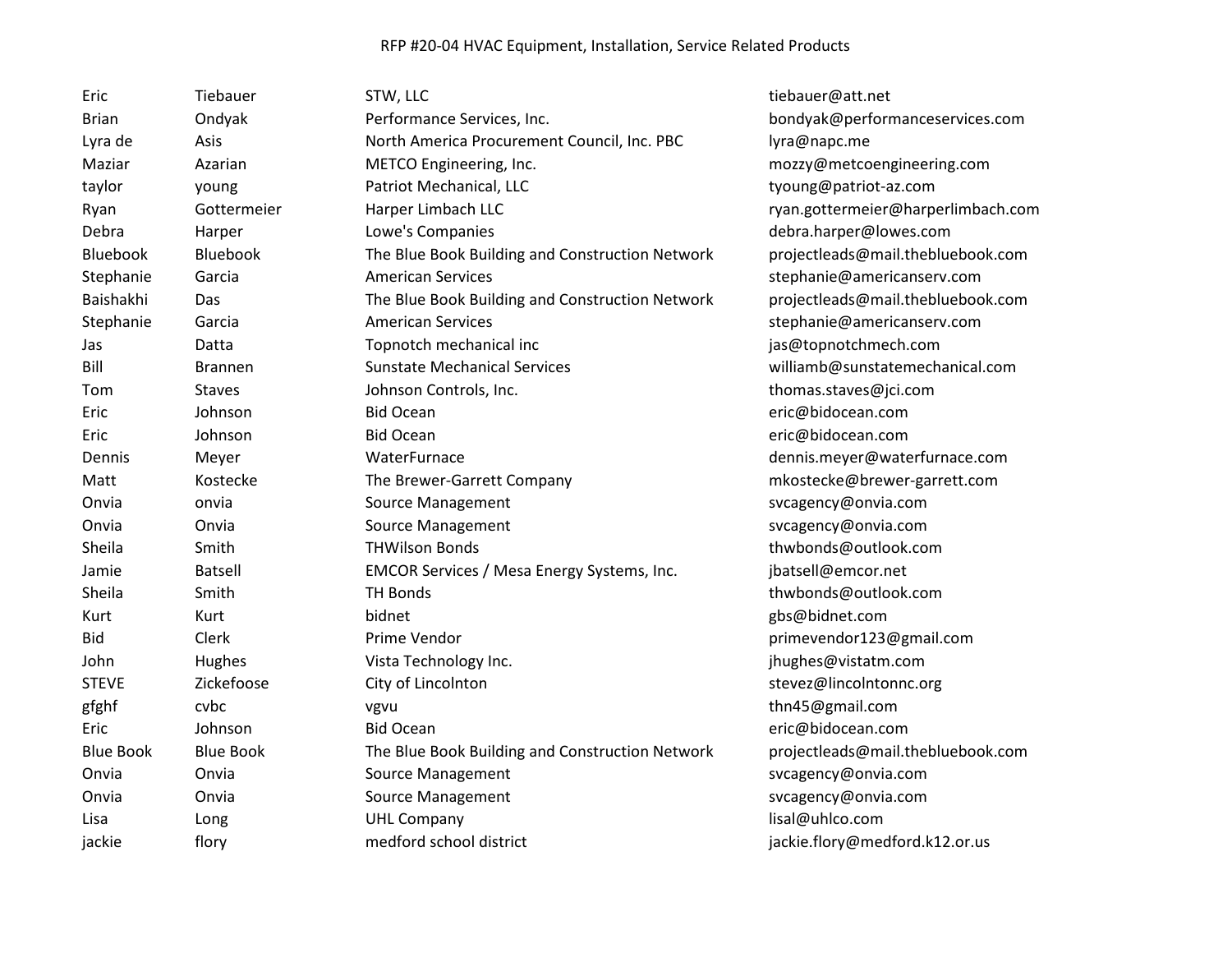| Eric             | Tiebauer         | STW, LLC                                        | tiebauer@att.net                   |
|------------------|------------------|-------------------------------------------------|------------------------------------|
| <b>Brian</b>     | Ondyak           | Performance Services, Inc.                      | bondyak@performanceservices.com    |
| Lyra de          | Asis             | North America Procurement Council, Inc. PBC     | lyra@napc.me                       |
| Maziar           | Azarian          | METCO Engineering, Inc.                         | mozzy@metcoengineering.com         |
| taylor           | young            | Patriot Mechanical, LLC                         | tyoung@patriot-az.com              |
| Ryan             | Gottermeier      | Harper Limbach LLC                              | ryan.gottermeier@harperlimbach.com |
| Debra            | Harper           | Lowe's Companies                                | debra.harper@lowes.com             |
| <b>Bluebook</b>  | Bluebook         | The Blue Book Building and Construction Network | projectleads@mail.thebluebook.com  |
| Stephanie        | Garcia           | <b>American Services</b>                        | stephanie@americanserv.com         |
| Baishakhi        | Das              | The Blue Book Building and Construction Network | projectleads@mail.thebluebook.com  |
| Stephanie        | Garcia           | <b>American Services</b>                        | stephanie@americanserv.com         |
| Jas              | Datta            | Topnotch mechanical inc                         | jas@topnotchmech.com               |
| Bill             | Brannen          | <b>Sunstate Mechanical Services</b>             | williamb@sunstatemechanical.com    |
| Tom              | <b>Staves</b>    | Johnson Controls, Inc.                          | thomas.staves@jci.com              |
| Eric             | Johnson          | <b>Bid Ocean</b>                                | eric@bidocean.com                  |
| Eric             | Johnson          | <b>Bid Ocean</b>                                | eric@bidocean.com                  |
| Dennis           | Meyer            | WaterFurnace                                    | dennis.meyer@waterfurnace.com      |
| Matt             | Kostecke         | The Brewer-Garrett Company                      | mkostecke@brewer-garrett.com       |
| Onvia            | onvia            | Source Management                               | svcagency@onvia.com                |
| Onvia            | Onvia            | Source Management                               | svcagency@onvia.com                |
| Sheila           | Smith            | <b>THWilson Bonds</b>                           | thwbonds@outlook.com               |
| Jamie            | Batsell          | EMCOR Services / Mesa Energy Systems, Inc.      | jbatsell@emcor.net                 |
| Sheila           | Smith            | <b>TH Bonds</b>                                 | thwbonds@outlook.com               |
| Kurt             | Kurt             | bidnet                                          | gbs@bidnet.com                     |
| <b>Bid</b>       | Clerk            | Prime Vendor                                    | primevendor123@gmail.com           |
| John             | Hughes           | Vista Technology Inc.                           | jhughes@vistatm.com                |
| <b>STEVE</b>     | Zickefoose       | City of Lincolnton                              | stevez@lincoIntonnc.org            |
| gfghf            | cvbc             | vgvu                                            | thn45@gmail.com                    |
| Eric             | Johnson          | <b>Bid Ocean</b>                                | eric@bidocean.com                  |
| <b>Blue Book</b> | <b>Blue Book</b> | The Blue Book Building and Construction Network | projectleads@mail.thebluebook.com  |
| Onvia            | Onvia            | Source Management                               | svcagency@onvia.com                |
| Onvia            | Onvia            | Source Management                               | svcagency@onvia.com                |
| Lisa             | Long             | <b>UHL Company</b>                              | lisal@uhlco.com                    |
| jackie           | flory            | medford school district                         | jackie.flory@medford.k12.or.us     |